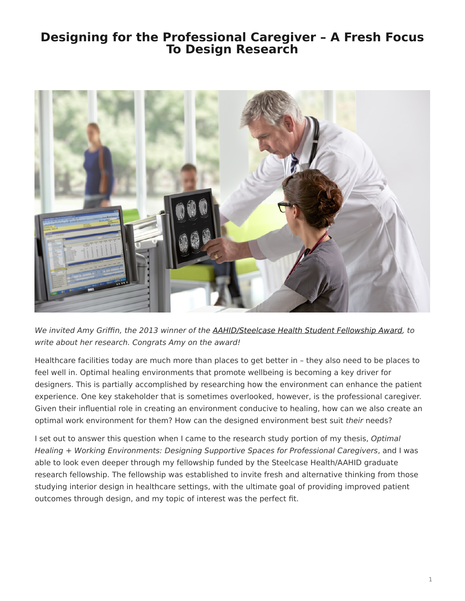## <span id="page-0-0"></span>**Designing for the Professional Caregiver – A Fresh Focus To Design Research**



We invited Amy Griffin, the 2013 winner of the [AAHID/Steelcase Health Student Fellowship Award,](https://www.steelcase.com/press-releases/aahid-and-steelcase-health-award-second-graduate-research-fellowship/) to write about her research. Congrats Amy on the award!

Healthcare facilities today are much more than places to get better in – they also need to be places to feel well in. Optimal healing environments that promote wellbeing is becoming a key driver for designers. This is partially accomplished by researching how the environment can enhance the patient experience. One key stakeholder that is sometimes overlooked, however, is the professional caregiver. Given their influential role in creating an environment conducive to healing, how can we also create an optimal work environment for them? How can the designed environment best suit their needs?

I set out to answer this question when I came to the research study portion of my thesis, Optimal Healing + Working Environments: Designing Supportive Spaces for Professional Caregivers, and I was able to look even deeper through my fellowship funded by the Steelcase Health/AAHID graduate research fellowship. The fellowship was established to invite fresh and alternative thinking from those studying interior design in healthcare settings, with the ultimate goal of providing improved patient outcomes through design, and my topic of interest was the perfect fit.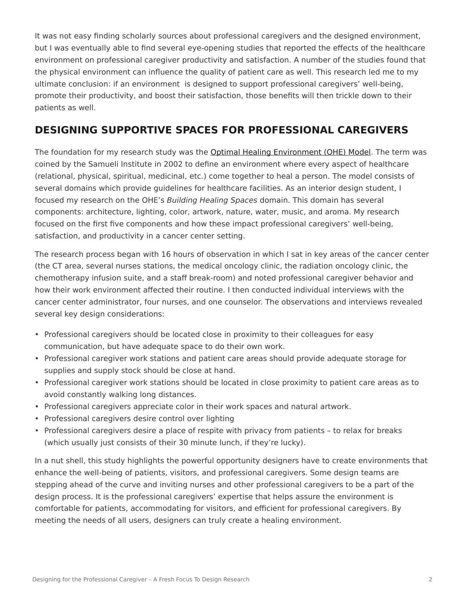It was not easy finding scholarly sources about professional caregivers and the designed environment, but I was eventually able to find several eye-opening studies that reported the effects of the healthcare environment on professional caregiver productivity and satisfaction. A number of the studies found that the physical environment can influence the quality of patient care as well. This research led me to my ultimate conclusion: if an environment is designed to support professional caregivers' well-being, promote their productivity, and boost their satisfaction, those benefits will then trickle down to their patients as well.

## **DESIGNING SUPPORTIVE SPACES FOR PROFESSIONAL CAREGIVERS**

The foundation for my research study was the [Optimal Healing Environment \(OHE\) Model.](http://www.samueliinstitute.org/research-areas/optimal-healing-environments/ohe-framework.html) The term was coined by the Samueli Institute in 2002 to define an environment where every aspect of healthcare (relational, physical, spiritual, medicinal, etc.) come together to heal a person. The model consists of several domains which provide guidelines for healthcare facilities. As an interior design student, I focused my research on the OHE's Building Healing Spaces domain. This domain has several components: architecture, lighting, color, artwork, nature, water, music, and aroma. My research focused on the first five components and how these impact professional caregivers' well-being, satisfaction, and productivity in a cancer center setting.

The research process began with 16 hours of observation in which I sat in key areas of the cancer center (the CT area, several nurses stations, the medical oncology clinic, the radiation oncology clinic, the chemotherapy infusion suite, and a staff break-room) and noted professional caregiver behavior and how their work environment affected their routine. I then conducted individual interviews with the cancer center administrator, four nurses, and one counselor. The observations and interviews revealed several key design considerations:

- Professional caregivers should be located close in proximity to their colleagues for easy communication, but have adequate space to do their own work.
- Professional caregiver work stations and patient care areas should provide adequate storage for supplies and supply stock should be close at hand.
- Professional caregiver work stations should be located in close proximity to patient care areas as to avoid constantly walking long distances.
- Professional caregivers appreciate color in their work spaces and natural artwork.
- Professional caregivers desire control over lighting
- Professional caregivers desire a place of respite with privacy from patients to relax for breaks (which usually just consists of their 30 minute lunch, if they're lucky).

In a nut shell, this study highlights the powerful opportunity designers have to create environments that enhance the well-being of patients, visitors, and professional caregivers. Some design teams are stepping ahead of the curve and inviting nurses and other professional caregivers to be a part of the design process. It is the professional caregivers' expertise that helps assure the environment is comfortable for patients, accommodating for visitors, and efficient for professional caregivers. By meeting the needs of all users, designers can truly create a healing environment.